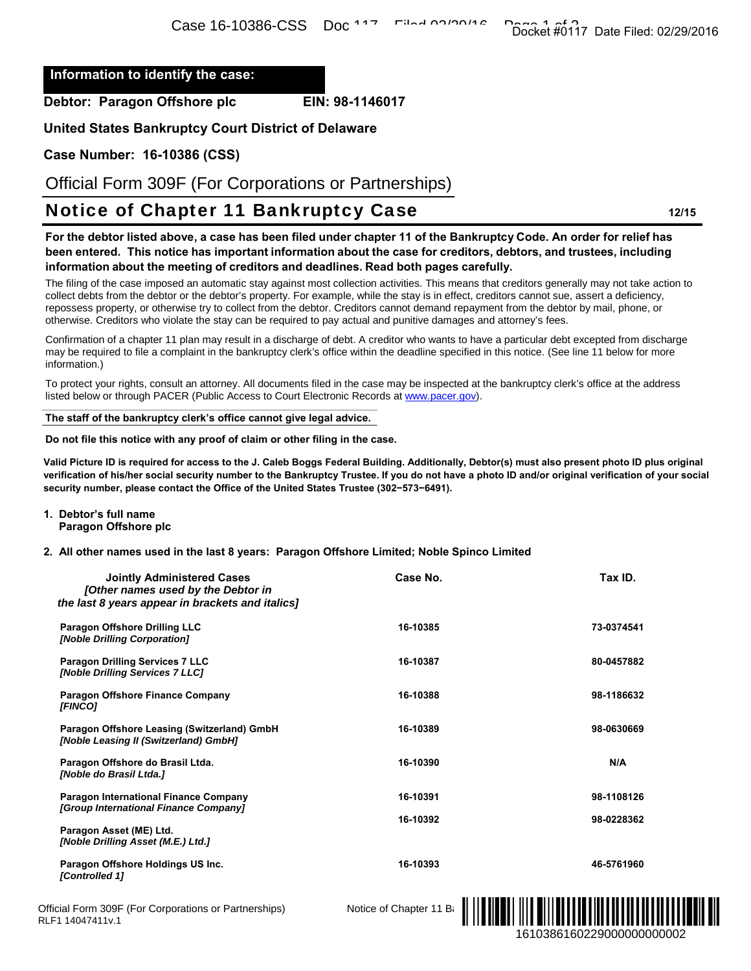## **Information to identify the case:**

**Case Number: 16-10386 (CSS)** 

# Notice of Chapter 11 Bankruptcy Case **12/15**

**1. Debtor's full name Paragon Offshore plc** 

### **2. All other names used in the last 8 years: Paragon Offshore Limited; Noble Spinco Limited**

| ∩ase ±n-±noon-∩oo – non                                                                                                                                                                                                                                                                                                                                                                                                                                                                                                                                                                                                         |                        | Docket #0117 Date Filed: 02/29/2016 |
|---------------------------------------------------------------------------------------------------------------------------------------------------------------------------------------------------------------------------------------------------------------------------------------------------------------------------------------------------------------------------------------------------------------------------------------------------------------------------------------------------------------------------------------------------------------------------------------------------------------------------------|------------------------|-------------------------------------|
| information to identify the case:                                                                                                                                                                                                                                                                                                                                                                                                                                                                                                                                                                                               |                        |                                     |
| ebtor: Paragon Offshore plc                                                                                                                                                                                                                                                                                                                                                                                                                                                                                                                                                                                                     | EIN: 98-1146017        |                                     |
| nited States Bankruptcy Court District of Delaware                                                                                                                                                                                                                                                                                                                                                                                                                                                                                                                                                                              |                        |                                     |
| ase Number: 16-10386 (CSS)                                                                                                                                                                                                                                                                                                                                                                                                                                                                                                                                                                                                      |                        |                                     |
| Official Form 309F (For Corporations or Partnerships)                                                                                                                                                                                                                                                                                                                                                                                                                                                                                                                                                                           |                        |                                     |
| <b>Notice of Chapter 11 Bankruptcy Case</b>                                                                                                                                                                                                                                                                                                                                                                                                                                                                                                                                                                                     |                        | 12/15                               |
| or the debtor listed above, a case has been filed under chapter 11 of the Bankruptcy Code. An order for relief has<br>een entered. This notice has important information about the case for creditors, debtors, and trustees, including<br>iformation about the meeting of creditors and deadlines. Read both pages carefully.<br>he filing of the case imposed an automatic stay against most collection activities. This means that creditors generally may not take action to<br>ollect debts from the debtor or the debtor's property. For example, while the stay is in effect, creditors cannot sue, assert a deficiency, |                        |                                     |
| possess property, or otherwise try to collect from the debtor. Creditors cannot demand repayment from the debtor by mail, phone, or<br>therwise. Creditors who violate the stay can be required to pay actual and punitive damages and attorney's fees.                                                                                                                                                                                                                                                                                                                                                                         |                        |                                     |
| onfirmation of a chapter 11 plan may result in a discharge of debt. A creditor who wants to have a particular debt excepted from discharge<br>ay be required to file a complaint in the bankruptcy clerk's office within the deadline specified in this notice. (See line 11 below for more<br>formation.)                                                                                                                                                                                                                                                                                                                      |                        |                                     |
| o protect your rights, consult an attorney. All documents filed in the case may be inspected at the bankruptcy clerk's office at the address<br>sted below or through PACER (Public Access to Court Electronic Records at www.pacer.gov).                                                                                                                                                                                                                                                                                                                                                                                       |                        |                                     |
| he staff of the bankruptcy clerk's office cannot give legal advice.                                                                                                                                                                                                                                                                                                                                                                                                                                                                                                                                                             |                        |                                     |
| o not file this notice with any proof of claim or other filing in the case.                                                                                                                                                                                                                                                                                                                                                                                                                                                                                                                                                     |                        |                                     |
| ilid Picture ID is required for access to the J. Caleb Boggs Federal Building. Additionally, Debtor(s) must also present photo ID plus original<br>rification of his/her social security number to the Bankruptcy Trustee. If you do not have a photo ID and/or original verification of your social<br>curity number, please contact the Office of the United States Trustee (302-573-6491).                                                                                                                                                                                                                                   |                        |                                     |
| Debtor's full name<br>Paragon Offshore plc                                                                                                                                                                                                                                                                                                                                                                                                                                                                                                                                                                                      |                        |                                     |
| All other names used in the last 8 years: Paragon Offshore Limited; Noble Spinco Limited                                                                                                                                                                                                                                                                                                                                                                                                                                                                                                                                        |                        |                                     |
| <b>Jointly Administered Cases</b><br>[Other names used by the Debtor in<br>the last 8 years appear in brackets and italics]                                                                                                                                                                                                                                                                                                                                                                                                                                                                                                     | Case No.               | Tax ID.                             |
| <b>Paragon Offshore Drilling LLC</b><br>[Noble Drilling Corporation]                                                                                                                                                                                                                                                                                                                                                                                                                                                                                                                                                            | 16-10385               | 73-0374541                          |
| Paragon Drilling Services 7 LLC<br>[Noble Drilling Services 7 LLC]                                                                                                                                                                                                                                                                                                                                                                                                                                                                                                                                                              | 16-10387               | 80-0457882                          |
| <b>Paragon Offshore Finance Company</b><br>[FINCO]                                                                                                                                                                                                                                                                                                                                                                                                                                                                                                                                                                              | 16-10388               | 98-1186632                          |
| Paragon Offshore Leasing (Switzerland) GmbH<br>[Noble Leasing II (Switzerland) GmbH]                                                                                                                                                                                                                                                                                                                                                                                                                                                                                                                                            | 16-10389               | 98-0630669                          |
| Paragon Offshore do Brasil Ltda.<br>[Noble do Brasil Ltda.]                                                                                                                                                                                                                                                                                                                                                                                                                                                                                                                                                                     | 16-10390               | N/A                                 |
| <b>Paragon International Finance Company</b><br>[Group International Finance Company]                                                                                                                                                                                                                                                                                                                                                                                                                                                                                                                                           | 16-10391               | 98-1108126                          |
| Paragon Asset (ME) Ltd.<br>[Noble Drilling Asset (M.E.) Ltd.]                                                                                                                                                                                                                                                                                                                                                                                                                                                                                                                                                                   | 16-10392               | 98-0228362                          |
| Paragon Offshore Holdings US Inc.<br>[Controlled 1]                                                                                                                                                                                                                                                                                                                                                                                                                                                                                                                                                                             | 16-10393               | 46-5761960                          |
| icial Form 309F (For Corporations or Partnerships)<br>-114047411v.1                                                                                                                                                                                                                                                                                                                                                                                                                                                                                                                                                             | Notice of Chapter 11 B | 1610386160229000000000002           |

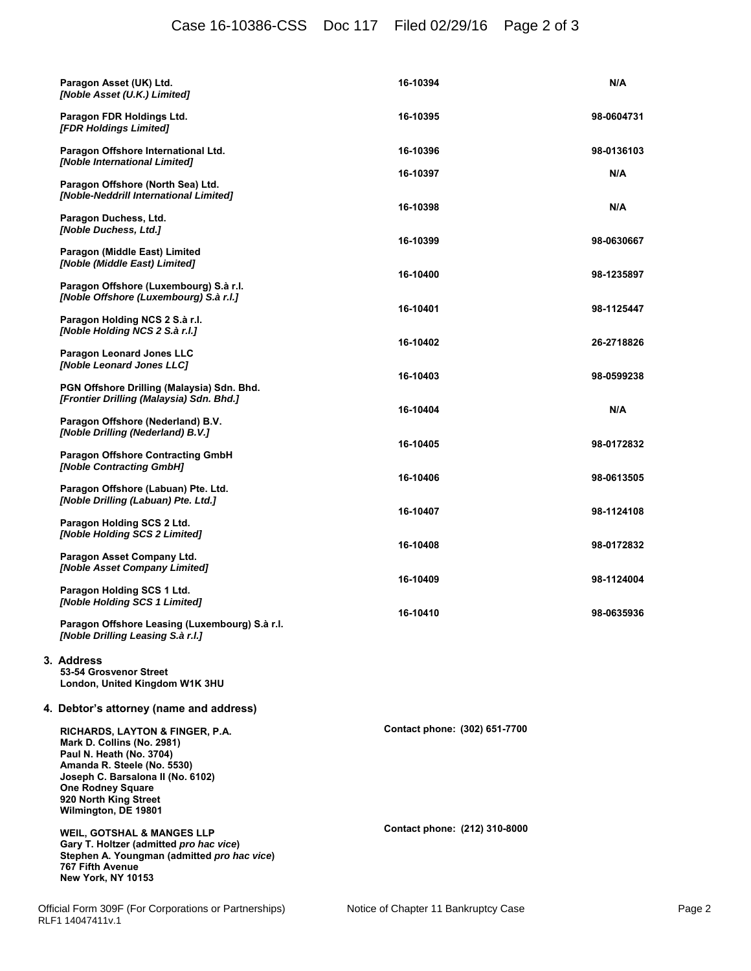# Case 16-10386-CSS Doc 117 Filed 02/29/16 Page 2 of 3

| Paragon Asset (UK) Ltd.<br>[Noble Asset (U.K.) Limited]                                                                                                                                                                                               | 16-10394                      | N/A                      |
|-------------------------------------------------------------------------------------------------------------------------------------------------------------------------------------------------------------------------------------------------------|-------------------------------|--------------------------|
| Paragon FDR Holdings Ltd.<br>[FDR Holdings Limited]                                                                                                                                                                                                   | 16-10395                      | 98-0604731               |
| Paragon Offshore International Ltd.<br>[Noble International Limited]                                                                                                                                                                                  | 16-10396                      | 98-0136103               |
| Paragon Offshore (North Sea) Ltd.<br>[Noble-Neddrill International Limited]                                                                                                                                                                           | 16-10397                      | N/A                      |
| Paragon Duchess, Ltd.<br>[Noble Duchess, Ltd.]                                                                                                                                                                                                        | 16-10398                      | N/A                      |
| Paragon (Middle East) Limited<br>[Noble (Middle East) Limited]                                                                                                                                                                                        | 16-10399                      | 98-0630667               |
| Paragon Offshore (Luxembourg) S.à r.l.<br>[Noble Offshore (Luxembourg) S.à r.l.]                                                                                                                                                                      | 16-10400                      | 98-1235897               |
| Paragon Holding NCS 2 S.à r.l.<br>[Noble Holding NCS 2 S.à r.l.]                                                                                                                                                                                      | 16-10401                      | 98-1125447               |
| Paragon Leonard Jones LLC<br>[Noble Leonard Jones LLC]                                                                                                                                                                                                | 16-10402                      | 26-2718826               |
| PGN Offshore Drilling (Malaysia) Sdn. Bhd.<br>[Frontier Drilling (Malaysia) Sdn. Bhd.]                                                                                                                                                                | 16-10403                      | 98-0599238               |
| Paragon Offshore (Nederland) B.V.<br>[Noble Drilling (Nederland) B.V.]                                                                                                                                                                                | 16-10404                      | N/A                      |
| <b>Paragon Offshore Contracting GmbH</b><br>[Noble Contracting GmbH]                                                                                                                                                                                  | 16-10405                      | 98-0172832               |
| Paragon Offshore (Labuan) Pte. Ltd.<br>[Noble Drilling (Labuan) Pte. Ltd.]                                                                                                                                                                            | 16-10406<br>16-10407          | 98-0613505<br>98-1124108 |
| Paragon Holding SCS 2 Ltd.<br>[Noble Holding SCS 2 Limited]                                                                                                                                                                                           | 16-10408                      | 98-0172832               |
| Paragon Asset Company Ltd.<br>[Noble Asset Company Limited]                                                                                                                                                                                           | 16-10409                      | 98-1124004               |
| Paragon Holding SCS 1 Ltd.<br>[Noble Holding SCS 1 Limited]                                                                                                                                                                                           | 16-10410                      | 98-0635936               |
| Paragon Offshore Leasing (Luxembourg) S.à r.l.<br>[Noble Drilling Leasing S.à r.l.]                                                                                                                                                                   |                               |                          |
| 3. Address<br>53-54 Grosvenor Street<br>London, United Kingdom W1K 3HU                                                                                                                                                                                |                               |                          |
| 4. Debtor's attorney (name and address)                                                                                                                                                                                                               |                               |                          |
| <b>RICHARDS, LAYTON &amp; FINGER, P.A.</b><br>Mark D. Collins (No. 2981)<br>Paul N. Heath (No. 3704)<br>Amanda R. Steele (No. 5530)<br>Joseph C. Barsalona II (No. 6102)<br><b>One Rodney Square</b><br>920 North King Street<br>Wilmington, DE 19801 | Contact phone: (302) 651-7700 |                          |
| <b>WEIL, GOTSHAL &amp; MANGES LLP</b><br>Gary T. Holtzer (admitted pro hac vice)<br>Stephen A. Youngman (admitted pro hac vice)<br>767 Fifth Avenue<br>New York, NY 10153                                                                             | Contact phone: (212) 310-8000 |                          |
|                                                                                                                                                                                                                                                       |                               |                          |

**3. Address**